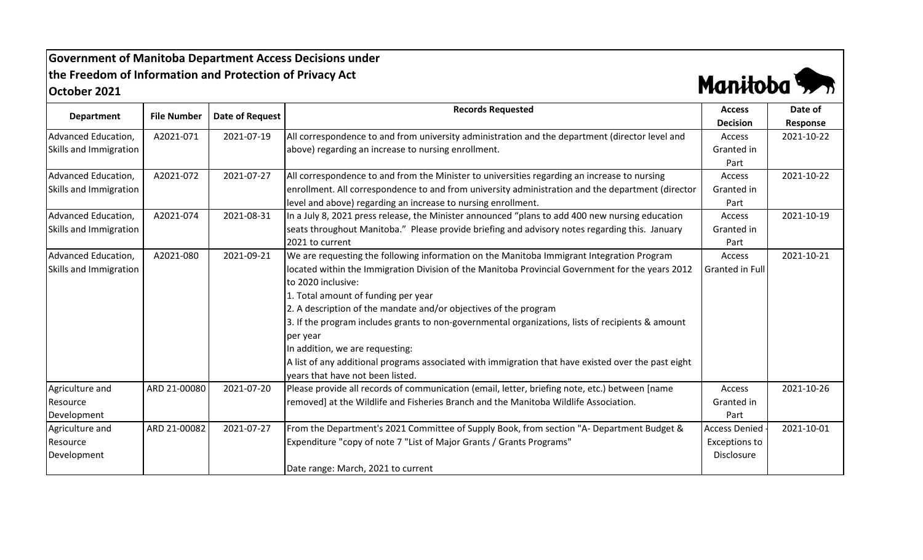## **Government of Manitoba Department Access Decisions under the Freedom of Information and Protection of Privacy Act October 2021**



|                        |                    |                 | <b>Records Requested</b>                                                                            | <b>Access</b>        | Date of    |
|------------------------|--------------------|-----------------|-----------------------------------------------------------------------------------------------------|----------------------|------------|
| <b>Department</b>      | <b>File Number</b> | Date of Request |                                                                                                     | <b>Decision</b>      | Response   |
| Advanced Education,    | A2021-071          | 2021-07-19      | All correspondence to and from university administration and the department (director level and     | Access               | 2021-10-22 |
| Skills and Immigration |                    |                 | above) regarding an increase to nursing enrollment.                                                 | Granted in           |            |
|                        |                    |                 |                                                                                                     | Part                 |            |
| Advanced Education,    | A2021-072          | 2021-07-27      | All correspondence to and from the Minister to universities regarding an increase to nursing        | Access               | 2021-10-22 |
| Skills and Immigration |                    |                 | enrollment. All correspondence to and from university administration and the department (director   | Granted in           |            |
|                        |                    |                 | level and above) regarding an increase to nursing enrollment.                                       | Part                 |            |
| Advanced Education,    | A2021-074          | 2021-08-31      | In a July 8, 2021 press release, the Minister announced "plans to add 400 new nursing education     | Access               | 2021-10-19 |
| Skills and Immigration |                    |                 | seats throughout Manitoba." Please provide briefing and advisory notes regarding this. January      | Granted in           |            |
|                        |                    |                 | 2021 to current                                                                                     | Part                 |            |
| Advanced Education,    | A2021-080          | 2021-09-21      | We are requesting the following information on the Manitoba Immigrant Integration Program           | Access               | 2021-10-21 |
| Skills and Immigration |                    |                 | located within the Immigration Division of the Manitoba Provincial Government for the years 2012    | Granted in Full      |            |
|                        |                    |                 | to 2020 inclusive:                                                                                  |                      |            |
|                        |                    |                 | 1. Total amount of funding per year                                                                 |                      |            |
|                        |                    |                 | 2. A description of the mandate and/or objectives of the program                                    |                      |            |
|                        |                    |                 | 3. If the program includes grants to non-governmental organizations, lists of recipients & amount   |                      |            |
|                        |                    |                 | per year                                                                                            |                      |            |
|                        |                    |                 | In addition, we are requesting:                                                                     |                      |            |
|                        |                    |                 | A list of any additional programs associated with immigration that have existed over the past eight |                      |            |
|                        |                    |                 | years that have not been listed.                                                                    |                      |            |
| Agriculture and        | ARD 21-00080       | 2021-07-20      | Please provide all records of communication (email, letter, briefing note, etc.) between [name      | Access               | 2021-10-26 |
| Resource               |                    |                 | removed] at the Wildlife and Fisheries Branch and the Manitoba Wildlife Association.                | Granted in           |            |
| Development            |                    |                 |                                                                                                     | Part                 |            |
| Agriculture and        | ARD 21-00082       | 2021-07-27      | From the Department's 2021 Committee of Supply Book, from section "A- Department Budget &           | <b>Access Denied</b> | 2021-10-01 |
| Resource               |                    |                 | Expenditure "copy of note 7 "List of Major Grants / Grants Programs"                                | <b>Exceptions to</b> |            |
| Development            |                    |                 |                                                                                                     | Disclosure           |            |
|                        |                    |                 | Date range: March, 2021 to current                                                                  |                      |            |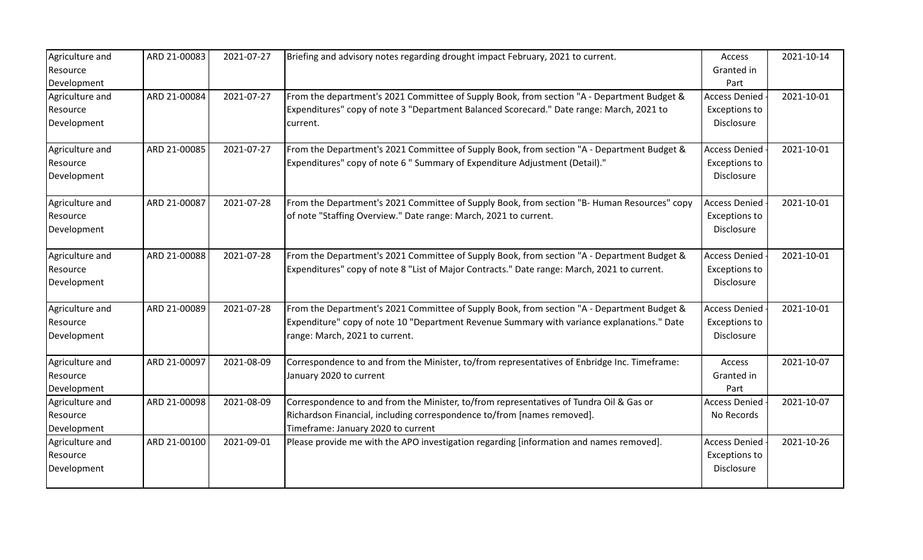| Agriculture and<br>Resource                               | ARD 21-00083 | 2021-07-27 | Briefing and advisory notes regarding drought impact February, 2021 to current.                                                                                                                                            | Access<br>Granted in                                        | 2021-10-14 |
|-----------------------------------------------------------|--------------|------------|----------------------------------------------------------------------------------------------------------------------------------------------------------------------------------------------------------------------------|-------------------------------------------------------------|------------|
| Development<br>Agriculture and<br>Resource<br>Development | ARD 21-00084 | 2021-07-27 | From the department's 2021 Committee of Supply Book, from section "A - Department Budget &<br>Expenditures" copy of note 3 "Department Balanced Scorecard." Date range: March, 2021 to<br>current.                         | Part<br><b>Access Denied</b><br>Exceptions to<br>Disclosure | 2021-10-01 |
| Agriculture and<br>Resource<br>Development                | ARD 21-00085 | 2021-07-27 | From the Department's 2021 Committee of Supply Book, from section "A - Department Budget &<br>Expenditures" copy of note 6 " Summary of Expenditure Adjustment (Detail)."                                                  | <b>Access Denied</b><br>Exceptions to<br>Disclosure         | 2021-10-01 |
| Agriculture and<br>Resource<br>Development                | ARD 21-00087 | 2021-07-28 | From the Department's 2021 Committee of Supply Book, from section "B- Human Resources" copy<br>of note "Staffing Overview." Date range: March, 2021 to current.                                                            | <b>Access Denied</b><br>Exceptions to<br>Disclosure         | 2021-10-01 |
| Agriculture and<br>Resource<br>Development                | ARD 21-00088 | 2021-07-28 | From the Department's 2021 Committee of Supply Book, from section "A - Department Budget &<br>Expenditures" copy of note 8 "List of Major Contracts." Date range: March, 2021 to current.                                  | <b>Access Denied</b><br><b>Exceptions to</b><br>Disclosure  | 2021-10-01 |
| Agriculture and<br>Resource<br>Development                | ARD 21-00089 | 2021-07-28 | From the Department's 2021 Committee of Supply Book, from section "A - Department Budget &<br>Expenditure" copy of note 10 "Department Revenue Summary with variance explanations." Date<br>range: March, 2021 to current. | <b>Access Denied</b><br>Exceptions to<br>Disclosure         | 2021-10-01 |
| Agriculture and<br>Resource<br>Development                | ARD 21-00097 | 2021-08-09 | Correspondence to and from the Minister, to/from representatives of Enbridge Inc. Timeframe:<br>January 2020 to current                                                                                                    | Access<br>Granted in<br>Part                                | 2021-10-07 |
| Agriculture and<br>Resource<br>Development                | ARD 21-00098 | 2021-08-09 | Correspondence to and from the Minister, to/from representatives of Tundra Oil & Gas or<br>Richardson Financial, including correspondence to/from [names removed].<br>Timeframe: January 2020 to current                   | <b>Access Denied</b><br>No Records                          | 2021-10-07 |
| Agriculture and<br>Resource<br>Development                | ARD 21-00100 | 2021-09-01 | Please provide me with the APO investigation regarding [information and names removed].                                                                                                                                    | <b>Access Denied</b><br>Exceptions to<br>Disclosure         | 2021-10-26 |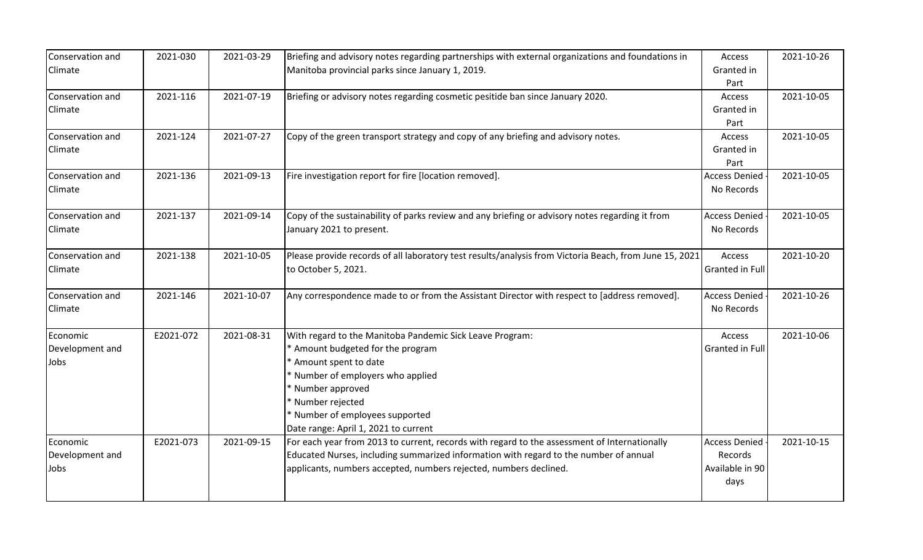| Conservation and | 2021-030  | 2021-03-29 | Briefing and advisory notes regarding partnerships with external organizations and foundations in      | Access               | 2021-10-26 |
|------------------|-----------|------------|--------------------------------------------------------------------------------------------------------|----------------------|------------|
| Climate          |           |            | Manitoba provincial parks since January 1, 2019.                                                       | Granted in           |            |
|                  |           |            |                                                                                                        | Part                 |            |
| Conservation and | 2021-116  | 2021-07-19 | Briefing or advisory notes regarding cosmetic pesitide ban since January 2020.                         | Access               | 2021-10-05 |
| Climate          |           |            |                                                                                                        | Granted in           |            |
|                  |           |            |                                                                                                        | Part                 |            |
| Conservation and | 2021-124  | 2021-07-27 | Copy of the green transport strategy and copy of any briefing and advisory notes.                      | Access               | 2021-10-05 |
| Climate          |           |            |                                                                                                        | Granted in           |            |
|                  |           |            |                                                                                                        | Part                 |            |
| Conservation and | 2021-136  | 2021-09-13 | Fire investigation report for fire [location removed].                                                 | <b>Access Denied</b> | 2021-10-05 |
| Climate          |           |            |                                                                                                        | No Records           |            |
|                  |           |            |                                                                                                        |                      |            |
| Conservation and | 2021-137  | 2021-09-14 | Copy of the sustainability of parks review and any briefing or advisory notes regarding it from        | <b>Access Denied</b> | 2021-10-05 |
| Climate          |           |            | January 2021 to present.                                                                               | No Records           |            |
|                  |           |            |                                                                                                        |                      |            |
| Conservation and | 2021-138  | 2021-10-05 | Please provide records of all laboratory test results/analysis from Victoria Beach, from June 15, 2021 | Access               | 2021-10-20 |
| Climate          |           |            | to October 5, 2021.                                                                                    | Granted in Full      |            |
|                  |           |            |                                                                                                        |                      |            |
| Conservation and | 2021-146  | 2021-10-07 | Any correspondence made to or from the Assistant Director with respect to [address removed].           | <b>Access Denied</b> | 2021-10-26 |
| Climate          |           |            |                                                                                                        | No Records           |            |
|                  |           |            |                                                                                                        |                      |            |
| Economic         | E2021-072 | 2021-08-31 | With regard to the Manitoba Pandemic Sick Leave Program:                                               | Access               | 2021-10-06 |
| Development and  |           |            | * Amount budgeted for the program                                                                      | Granted in Full      |            |
| Jobs             |           |            | Amount spent to date                                                                                   |                      |            |
|                  |           |            | * Number of employers who applied                                                                      |                      |            |
|                  |           |            | * Number approved                                                                                      |                      |            |
|                  |           |            | * Number rejected                                                                                      |                      |            |
|                  |           |            | * Number of employees supported                                                                        |                      |            |
|                  |           |            | Date range: April 1, 2021 to current                                                                   |                      |            |
| Economic         | E2021-073 | 2021-09-15 | For each year from 2013 to current, records with regard to the assessment of Internationally           | <b>Access Denied</b> | 2021-10-15 |
| Development and  |           |            | Educated Nurses, including summarized information with regard to the number of annual                  | Records              |            |
| Jobs             |           |            | applicants, numbers accepted, numbers rejected, numbers declined.                                      | Available in 90      |            |
|                  |           |            |                                                                                                        | days                 |            |
|                  |           |            |                                                                                                        |                      |            |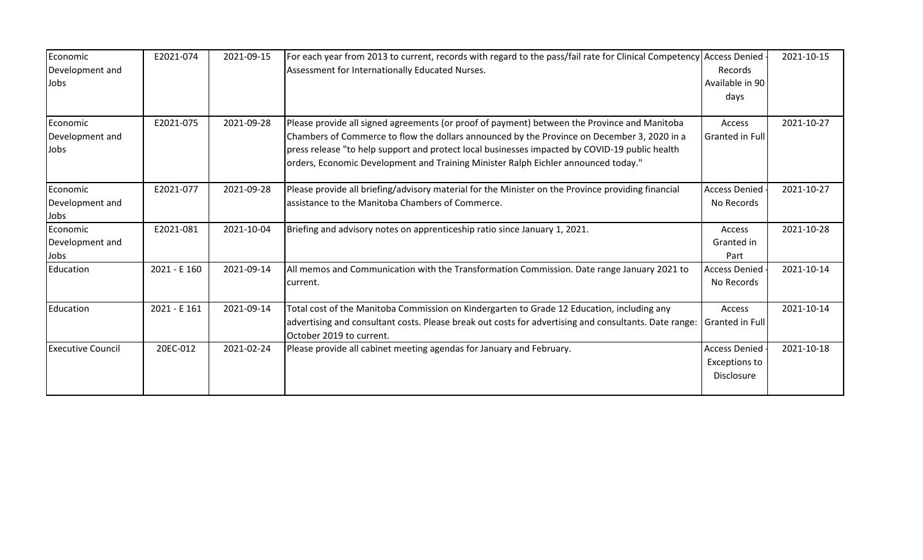| Economic                 | E2021-074    | 2021-09-15 | For each year from 2013 to current, records with regard to the pass/fail rate for Clinical Competency Access Denied -             |                      | 2021-10-15 |
|--------------------------|--------------|------------|-----------------------------------------------------------------------------------------------------------------------------------|----------------------|------------|
| Development and          |              |            | Assessment for Internationally Educated Nurses.                                                                                   | Records              |            |
| Jobs                     |              |            |                                                                                                                                   | Available in 90      |            |
|                          |              |            |                                                                                                                                   | days                 |            |
|                          |              |            |                                                                                                                                   |                      |            |
| Economic                 | E2021-075    | 2021-09-28 | Please provide all signed agreements (or proof of payment) between the Province and Manitoba                                      | Access               | 2021-10-27 |
| Development and          |              |            | Chambers of Commerce to flow the dollars announced by the Province on December 3, 2020 in a                                       | Granted in Full      |            |
| Jobs                     |              |            | press release "to help support and protect local businesses impacted by COVID-19 public health                                    |                      |            |
|                          |              |            | orders, Economic Development and Training Minister Ralph Eichler announced today."                                                |                      |            |
| Economic                 | E2021-077    | 2021-09-28 | Please provide all briefing/advisory material for the Minister on the Province providing financial                                | Access Denied        | 2021-10-27 |
| Development and          |              |            | assistance to the Manitoba Chambers of Commerce.                                                                                  | No Records           |            |
| Jobs                     |              |            |                                                                                                                                   |                      |            |
| Economic                 | E2021-081    | 2021-10-04 | Briefing and advisory notes on apprenticeship ratio since January 1, 2021.                                                        | Access               | 2021-10-28 |
| Development and          |              |            |                                                                                                                                   | Granted in           |            |
| Jobs                     |              |            |                                                                                                                                   | Part                 |            |
| Education                | 2021 - E 160 | 2021-09-14 | All memos and Communication with the Transformation Commission. Date range January 2021 to                                        | <b>Access Denied</b> | 2021-10-14 |
|                          |              |            | current.                                                                                                                          | No Records           |            |
| Education                | 2021 - E 161 | 2021-09-14 | Total cost of the Manitoba Commission on Kindergarten to Grade 12 Education, including any                                        | Access               | 2021-10-14 |
|                          |              |            | advertising and consultant costs. Please break out costs for advertising and consultants. Date range:<br>October 2019 to current. | Granted in Full      |            |
| <b>Executive Council</b> | 20EC-012     | 2021-02-24 | Please provide all cabinet meeting agendas for January and February.                                                              | Access Denied        | 2021-10-18 |
|                          |              |            |                                                                                                                                   | <b>Exceptions to</b> |            |
|                          |              |            |                                                                                                                                   | Disclosure           |            |
|                          |              |            |                                                                                                                                   |                      |            |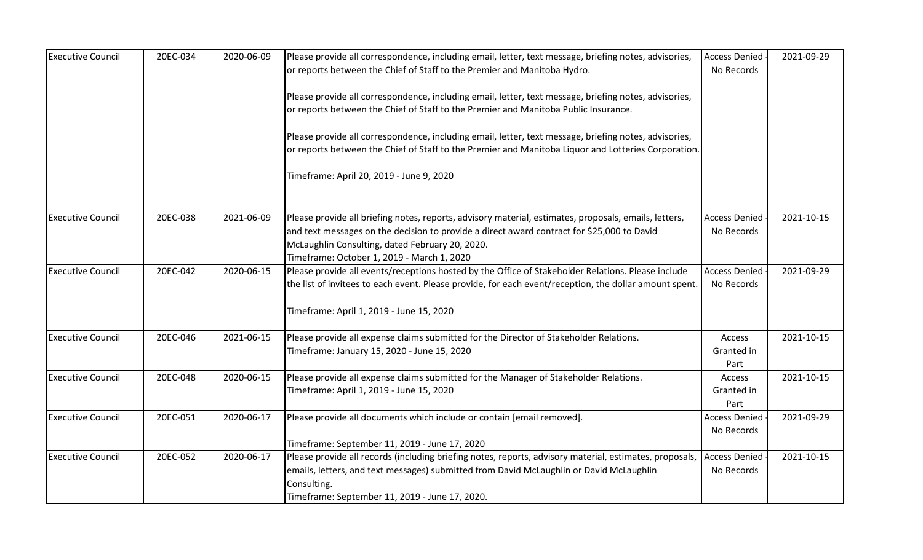| <b>Executive Council</b> | 20EC-034 | 2020-06-09 | Please provide all correspondence, including email, letter, text message, briefing notes, advisories,   | <b>Access Denied</b> | 2021-09-29 |
|--------------------------|----------|------------|---------------------------------------------------------------------------------------------------------|----------------------|------------|
|                          |          |            | or reports between the Chief of Staff to the Premier and Manitoba Hydro.                                | No Records           |            |
|                          |          |            |                                                                                                         |                      |            |
|                          |          |            | Please provide all correspondence, including email, letter, text message, briefing notes, advisories,   |                      |            |
|                          |          |            | or reports between the Chief of Staff to the Premier and Manitoba Public Insurance.                     |                      |            |
|                          |          |            | Please provide all correspondence, including email, letter, text message, briefing notes, advisories,   |                      |            |
|                          |          |            | or reports between the Chief of Staff to the Premier and Manitoba Liquor and Lotteries Corporation.     |                      |            |
|                          |          |            | Timeframe: April 20, 2019 - June 9, 2020                                                                |                      |            |
|                          |          |            |                                                                                                         |                      |            |
|                          |          |            |                                                                                                         |                      |            |
| <b>Executive Council</b> | 20EC-038 | 2021-06-09 | Please provide all briefing notes, reports, advisory material, estimates, proposals, emails, letters,   | <b>Access Denied</b> | 2021-10-15 |
|                          |          |            | and text messages on the decision to provide a direct award contract for \$25,000 to David              | No Records           |            |
|                          |          |            | McLaughlin Consulting, dated February 20, 2020.                                                         |                      |            |
|                          |          |            | Timeframe: October 1, 2019 - March 1, 2020                                                              |                      |            |
| <b>Executive Council</b> | 20EC-042 | 2020-06-15 | Please provide all events/receptions hosted by the Office of Stakeholder Relations. Please include      | <b>Access Denied</b> | 2021-09-29 |
|                          |          |            | the list of invitees to each event. Please provide, for each event/reception, the dollar amount spent.  | No Records           |            |
|                          |          |            | Timeframe: April 1, 2019 - June 15, 2020                                                                |                      |            |
|                          |          |            |                                                                                                         |                      |            |
| <b>Executive Council</b> | 20EC-046 | 2021-06-15 | Please provide all expense claims submitted for the Director of Stakeholder Relations.                  | Access               | 2021-10-15 |
|                          |          |            | Timeframe: January 15, 2020 - June 15, 2020                                                             | Granted in           |            |
|                          |          |            |                                                                                                         | Part                 |            |
| <b>Executive Council</b> | 20EC-048 | 2020-06-15 | Please provide all expense claims submitted for the Manager of Stakeholder Relations.                   | Access               | 2021-10-15 |
|                          |          |            | Timeframe: April 1, 2019 - June 15, 2020                                                                | Granted in           |            |
|                          |          |            |                                                                                                         | Part                 |            |
| <b>Executive Council</b> | 20EC-051 | 2020-06-17 | Please provide all documents which include or contain [email removed].                                  | <b>Access Denied</b> | 2021-09-29 |
|                          |          |            |                                                                                                         | No Records           |            |
|                          |          |            | Timeframe: September 11, 2019 - June 17, 2020                                                           |                      |            |
| <b>Executive Council</b> | 20EC-052 | 2020-06-17 | Please provide all records (including briefing notes, reports, advisory material, estimates, proposals, | <b>Access Denied</b> | 2021-10-15 |
|                          |          |            | emails, letters, and text messages) submitted from David McLaughlin or David McLaughlin                 | No Records           |            |
|                          |          |            | Consulting.                                                                                             |                      |            |
|                          |          |            | Timeframe: September 11, 2019 - June 17, 2020.                                                          |                      |            |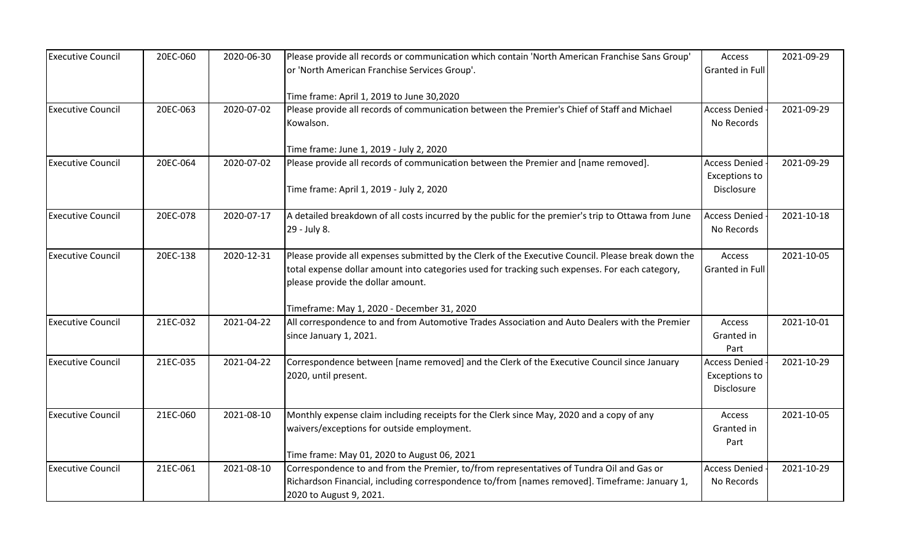| <b>Executive Council</b> | 20EC-060 | 2020-06-30 | Please provide all records or communication which contain 'North American Franchise Sans Group'     | Access               | 2021-09-29 |
|--------------------------|----------|------------|-----------------------------------------------------------------------------------------------------|----------------------|------------|
|                          |          |            | or 'North American Franchise Services Group'.                                                       | Granted in Full      |            |
|                          |          |            |                                                                                                     |                      |            |
|                          |          |            | Time frame: April 1, 2019 to June 30,2020                                                           |                      |            |
| <b>Executive Council</b> | 20EC-063 | 2020-07-02 | Please provide all records of communication between the Premier's Chief of Staff and Michael        | <b>Access Denied</b> | 2021-09-29 |
|                          |          |            | Kowalson.                                                                                           | No Records           |            |
|                          |          |            | Time frame: June 1, 2019 - July 2, 2020                                                             |                      |            |
| <b>Executive Council</b> | 20EC-064 | 2020-07-02 | Please provide all records of communication between the Premier and [name removed].                 | <b>Access Denied</b> | 2021-09-29 |
|                          |          |            |                                                                                                     | <b>Exceptions to</b> |            |
|                          |          |            | Time frame: April 1, 2019 - July 2, 2020                                                            | Disclosure           |            |
|                          |          |            |                                                                                                     |                      |            |
| <b>Executive Council</b> | 20EC-078 | 2020-07-17 | A detailed breakdown of all costs incurred by the public for the premier's trip to Ottawa from June | <b>Access Denied</b> | 2021-10-18 |
|                          |          |            | 29 - July 8.                                                                                        | No Records           |            |
|                          |          |            |                                                                                                     |                      |            |
| <b>Executive Council</b> | 20EC-138 | 2020-12-31 | Please provide all expenses submitted by the Clerk of the Executive Council. Please break down the  | Access               | 2021-10-05 |
|                          |          |            | total expense dollar amount into categories used for tracking such expenses. For each category,     | Granted in Full      |            |
|                          |          |            | please provide the dollar amount.                                                                   |                      |            |
|                          |          |            |                                                                                                     |                      |            |
|                          |          |            | Timeframe: May 1, 2020 - December 31, 2020                                                          |                      |            |
| <b>Executive Council</b> | 21EC-032 | 2021-04-22 | All correspondence to and from Automotive Trades Association and Auto Dealers with the Premier      | Access               | 2021-10-01 |
|                          |          |            | since January 1, 2021.                                                                              | Granted in           |            |
|                          |          |            |                                                                                                     | Part                 |            |
| <b>Executive Council</b> | 21EC-035 | 2021-04-22 | Correspondence between [name removed] and the Clerk of the Executive Council since January          | <b>Access Denied</b> | 2021-10-29 |
|                          |          |            | 2020, until present.                                                                                | <b>Exceptions to</b> |            |
|                          |          |            |                                                                                                     | Disclosure           |            |
|                          |          |            |                                                                                                     |                      |            |
| <b>Executive Council</b> | 21EC-060 | 2021-08-10 | Monthly expense claim including receipts for the Clerk since May, 2020 and a copy of any            | Access               | 2021-10-05 |
|                          |          |            | waivers/exceptions for outside employment.                                                          | Granted in           |            |
|                          |          |            |                                                                                                     | Part                 |            |
|                          |          |            | Time frame: May 01, 2020 to August 06, 2021                                                         |                      |            |
| <b>Executive Council</b> | 21EC-061 | 2021-08-10 | Correspondence to and from the Premier, to/from representatives of Tundra Oil and Gas or            | <b>Access Denied</b> | 2021-10-29 |
|                          |          |            | Richardson Financial, including correspondence to/from [names removed]. Timeframe: January 1,       | No Records           |            |
|                          |          |            | 2020 to August 9, 2021.                                                                             |                      |            |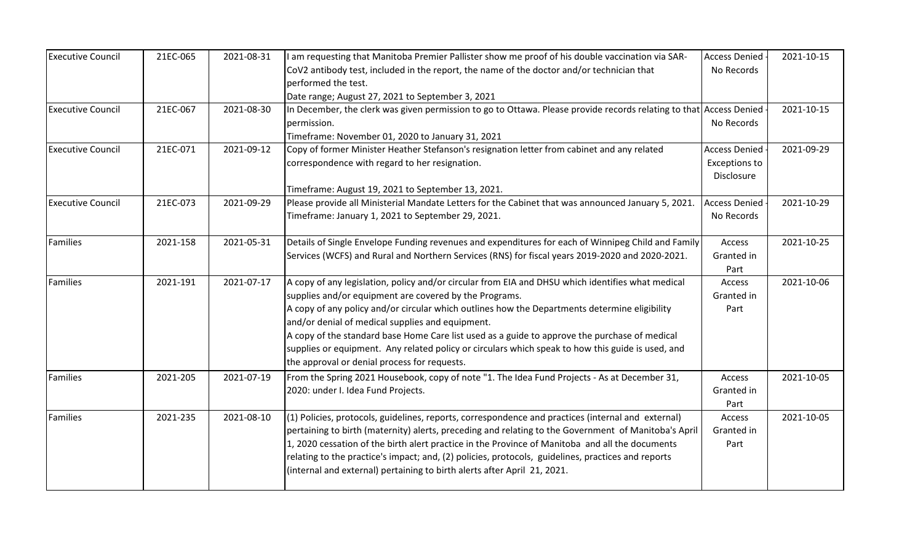| <b>Executive Council</b> | 21EC-065 | 2021-08-31 | I am requesting that Manitoba Premier Pallister show me proof of his double vaccination via SAR-                   | <b>Access Denied</b> | 2021-10-15 |
|--------------------------|----------|------------|--------------------------------------------------------------------------------------------------------------------|----------------------|------------|
|                          |          |            | CoV2 antibody test, included in the report, the name of the doctor and/or technician that                          | No Records           |            |
|                          |          |            | performed the test.                                                                                                |                      |            |
|                          |          |            | Date range; August 27, 2021 to September 3, 2021                                                                   |                      |            |
| <b>Executive Council</b> | 21EC-067 | 2021-08-30 | In December, the clerk was given permission to go to Ottawa. Please provide records relating to that Access Denied |                      | 2021-10-15 |
|                          |          |            | permission.                                                                                                        | No Records           |            |
|                          |          |            | Timeframe: November 01, 2020 to January 31, 2021                                                                   |                      |            |
| <b>Executive Council</b> | 21EC-071 | 2021-09-12 | Copy of former Minister Heather Stefanson's resignation letter from cabinet and any related                        | <b>Access Denied</b> | 2021-09-29 |
|                          |          |            | correspondence with regard to her resignation.                                                                     | <b>Exceptions to</b> |            |
|                          |          |            |                                                                                                                    | Disclosure           |            |
|                          |          |            | Timeframe: August 19, 2021 to September 13, 2021.                                                                  |                      |            |
| <b>Executive Council</b> | 21EC-073 | 2021-09-29 | Please provide all Ministerial Mandate Letters for the Cabinet that was announced January 5, 2021.                 | <b>Access Denied</b> | 2021-10-29 |
|                          |          |            | Timeframe: January 1, 2021 to September 29, 2021.                                                                  | No Records           |            |
|                          |          |            |                                                                                                                    |                      |            |
| <b>Families</b>          | 2021-158 | 2021-05-31 | Details of Single Envelope Funding revenues and expenditures for each of Winnipeg Child and Family                 | Access               | 2021-10-25 |
|                          |          |            | Services (WCFS) and Rural and Northern Services (RNS) for fiscal years 2019-2020 and 2020-2021.                    | Granted in           |            |
|                          |          |            |                                                                                                                    | Part                 |            |
| Families                 | 2021-191 | 2021-07-17 | A copy of any legislation, policy and/or circular from EIA and DHSU which identifies what medical                  | Access               | 2021-10-06 |
|                          |          |            | supplies and/or equipment are covered by the Programs.                                                             | Granted in           |            |
|                          |          |            | A copy of any policy and/or circular which outlines how the Departments determine eligibility                      | Part                 |            |
|                          |          |            | and/or denial of medical supplies and equipment.                                                                   |                      |            |
|                          |          |            | A copy of the standard base Home Care list used as a guide to approve the purchase of medical                      |                      |            |
|                          |          |            | supplies or equipment. Any related policy or circulars which speak to how this guide is used, and                  |                      |            |
|                          |          |            | the approval or denial process for requests.                                                                       |                      |            |
| Families                 | 2021-205 | 2021-07-19 | From the Spring 2021 Housebook, copy of note "1. The Idea Fund Projects - As at December 31,                       | Access               | 2021-10-05 |
|                          |          |            | 2020: under I. Idea Fund Projects.                                                                                 | Granted in           |            |
|                          |          |            |                                                                                                                    | Part                 |            |
| Families                 | 2021-235 | 2021-08-10 | (1) Policies, protocols, guidelines, reports, correspondence and practices (internal and external)                 | Access               | 2021-10-05 |
|                          |          |            | pertaining to birth (maternity) alerts, preceding and relating to the Government of Manitoba's April               | Granted in           |            |
|                          |          |            | 1, 2020 cessation of the birth alert practice in the Province of Manitoba and all the documents                    | Part                 |            |
|                          |          |            | relating to the practice's impact; and, (2) policies, protocols, guidelines, practices and reports                 |                      |            |
|                          |          |            | (internal and external) pertaining to birth alerts after April 21, 2021.                                           |                      |            |
|                          |          |            |                                                                                                                    |                      |            |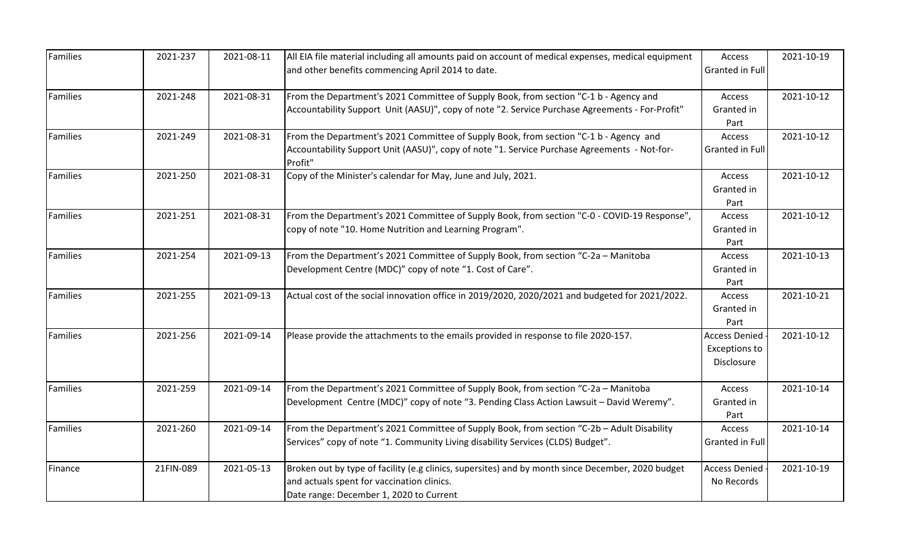| Families        | 2021-237  | 2021-08-11 | All EIA file material including all amounts paid on account of medical expenses, medical equipment      | Access<br>Granted in Full | 2021-10-19 |
|-----------------|-----------|------------|---------------------------------------------------------------------------------------------------------|---------------------------|------------|
|                 |           |            | and other benefits commencing April 2014 to date.                                                       |                           |            |
| <b>Families</b> | 2021-248  | 2021-08-31 | From the Department's 2021 Committee of Supply Book, from section "C-1 b - Agency and                   | Access                    | 2021-10-12 |
|                 |           |            | Accountability Support Unit (AASU)", copy of note "2. Service Purchase Agreements - For-Profit"         | Granted in<br>Part        |            |
| <b>Families</b> | 2021-249  | 2021-08-31 | From the Department's 2021 Committee of Supply Book, from section "C-1 b - Agency and                   | <b>Access</b>             | 2021-10-12 |
|                 |           |            | Accountability Support Unit (AASU)", copy of note "1. Service Purchase Agreements - Not-for-<br>Profit" | Granted in Full           |            |
| Families        | 2021-250  | 2021-08-31 | Copy of the Minister's calendar for May, June and July, 2021.                                           | Access                    | 2021-10-12 |
|                 |           |            |                                                                                                         | Granted in<br>Part        |            |
| Families        | 2021-251  | 2021-08-31 | From the Department's 2021 Committee of Supply Book, from section "C-0 - COVID-19 Response",            | Access                    | 2021-10-12 |
|                 |           |            | copy of note "10. Home Nutrition and Learning Program".                                                 | Granted in                |            |
|                 |           |            |                                                                                                         | Part                      |            |
| <b>Families</b> | 2021-254  | 2021-09-13 | From the Department's 2021 Committee of Supply Book, from section "C-2a - Manitoba                      | Access                    | 2021-10-13 |
|                 |           |            | Development Centre (MDC)" copy of note "1. Cost of Care".                                               | Granted in                |            |
|                 |           |            |                                                                                                         | Part                      |            |
| <b>Families</b> | 2021-255  | 2021-09-13 | Actual cost of the social innovation office in 2019/2020, 2020/2021 and budgeted for 2021/2022.         | Access                    | 2021-10-21 |
|                 |           |            |                                                                                                         | Granted in<br>Part        |            |
| Families        | 2021-256  | 2021-09-14 | Please provide the attachments to the emails provided in response to file 2020-157.                     | <b>Access Denied</b>      | 2021-10-12 |
|                 |           |            |                                                                                                         | Exceptions to             |            |
|                 |           |            |                                                                                                         | Disclosure                |            |
|                 |           |            |                                                                                                         |                           |            |
| <b>Families</b> | 2021-259  | 2021-09-14 | From the Department's 2021 Committee of Supply Book, from section "C-2a - Manitoba                      | Access                    | 2021-10-14 |
|                 |           |            | Development Centre (MDC)" copy of note "3. Pending Class Action Lawsuit - David Weremy".                | Granted in                |            |
|                 |           |            |                                                                                                         | Part                      |            |
| <b>Families</b> | 2021-260  | 2021-09-14 | From the Department's 2021 Committee of Supply Book, from section "C-2b - Adult Disability              | Access                    | 2021-10-14 |
|                 |           |            | Services" copy of note "1. Community Living disability Services (CLDS) Budget".                         | Granted in Full           |            |
| Finance         | 21FIN-089 | 2021-05-13 | Broken out by type of facility (e.g clinics, supersites) and by month since December, 2020 budget       | <b>Access Denied</b>      | 2021-10-19 |
|                 |           |            | and actuals spent for vaccination clinics.                                                              | No Records                |            |
|                 |           |            | Date range: December 1, 2020 to Current                                                                 |                           |            |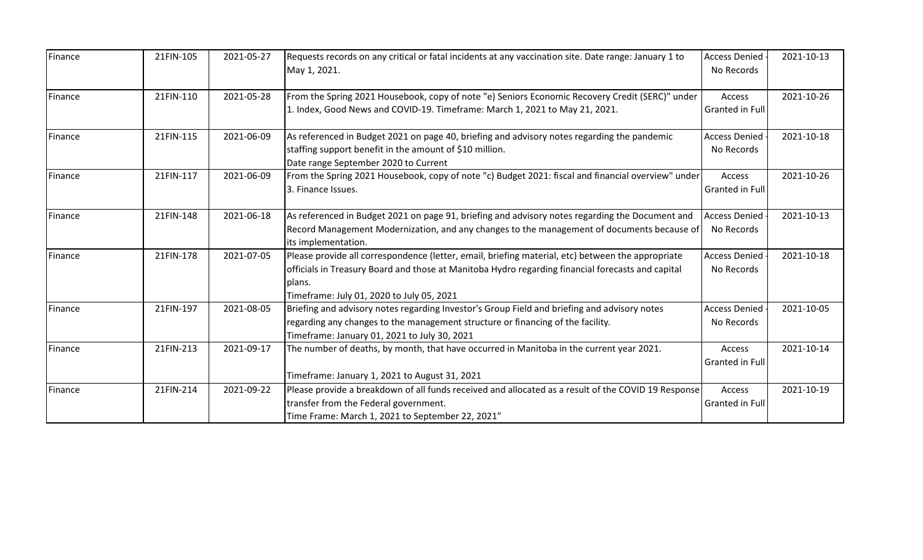| Finance | 21FIN-105 | 2021-05-27 | Requests records on any critical or fatal incidents at any vaccination site. Date range: January 1 to<br>May 1, 2021.                                                                                                                                         | <b>Access Denied</b><br>No Records | 2021-10-13 |
|---------|-----------|------------|---------------------------------------------------------------------------------------------------------------------------------------------------------------------------------------------------------------------------------------------------------------|------------------------------------|------------|
| Finance | 21FIN-110 | 2021-05-28 | From the Spring 2021 Housebook, copy of note "e) Seniors Economic Recovery Credit (SERC)" under<br>1. Index, Good News and COVID-19. Timeframe: March 1, 2021 to May 21, 2021.                                                                                | Access<br>Granted in Full          | 2021-10-26 |
| Finance | 21FIN-115 | 2021-06-09 | As referenced in Budget 2021 on page 40, briefing and advisory notes regarding the pandemic<br>staffing support benefit in the amount of \$10 million.<br>Date range September 2020 to Current                                                                | <b>Access Denied</b><br>No Records | 2021-10-18 |
| Finance | 21FIN-117 | 2021-06-09 | From the Spring 2021 Housebook, copy of note "c) Budget 2021: fiscal and financial overview" under<br>3. Finance Issues.                                                                                                                                      | Access<br>Granted in Full          | 2021-10-26 |
| Finance | 21FIN-148 | 2021-06-18 | As referenced in Budget 2021 on page 91, briefing and advisory notes regarding the Document and<br>Record Management Modernization, and any changes to the management of documents because of<br>its implementation.                                          | <b>Access Denied</b><br>No Records | 2021-10-13 |
| Finance | 21FIN-178 | 2021-07-05 | Please provide all correspondence (letter, email, briefing material, etc) between the appropriate<br>officials in Treasury Board and those at Manitoba Hydro regarding financial forecasts and capital<br>plans.<br>Timeframe: July 01, 2020 to July 05, 2021 | <b>Access Denied</b><br>No Records | 2021-10-18 |
| Finance | 21FIN-197 | 2021-08-05 | Briefing and advisory notes regarding Investor's Group Field and briefing and advisory notes<br>regarding any changes to the management structure or financing of the facility.<br>Timeframe: January 01, 2021 to July 30, 2021                               | <b>Access Denied</b><br>No Records | 2021-10-05 |
| Finance | 21FIN-213 | 2021-09-17 | The number of deaths, by month, that have occurred in Manitoba in the current year 2021.<br>Timeframe: January 1, 2021 to August 31, 2021                                                                                                                     | Access<br>Granted in Full          | 2021-10-14 |
| Finance | 21FIN-214 | 2021-09-22 | Please provide a breakdown of all funds received and allocated as a result of the COVID 19 Response<br>transfer from the Federal government.<br>Time Frame: March 1, 2021 to September 22, 2021"                                                              | Access<br>Granted in Full          | 2021-10-19 |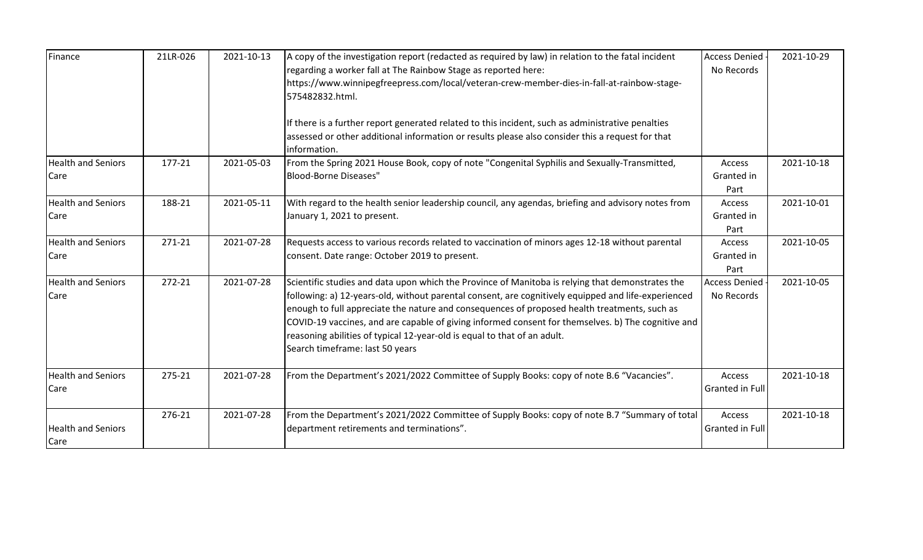| Finance                           | 21LR-026 | 2021-10-13 | A copy of the investigation report (redacted as required by law) in relation to the fatal incident<br>regarding a worker fall at The Rainbow Stage as reported here:<br>https://www.winnipegfreepress.com/local/veteran-crew-member-dies-in-fall-at-rainbow-stage-<br>575482832.html.<br>If there is a further report generated related to this incident, such as administrative penalties<br>assessed or other additional information or results please also consider this a request for that<br>information.               | <b>Access Denied</b><br>No Records  | 2021-10-29 |
|-----------------------------------|----------|------------|------------------------------------------------------------------------------------------------------------------------------------------------------------------------------------------------------------------------------------------------------------------------------------------------------------------------------------------------------------------------------------------------------------------------------------------------------------------------------------------------------------------------------|-------------------------------------|------------|
| <b>Health and Seniors</b><br>Care | 177-21   | 2021-05-03 | From the Spring 2021 House Book, copy of note "Congenital Syphilis and Sexually-Transmitted,<br><b>Blood-Borne Diseases"</b>                                                                                                                                                                                                                                                                                                                                                                                                 | Access<br>Granted in<br>Part        | 2021-10-18 |
| <b>Health and Seniors</b><br>Care | 188-21   | 2021-05-11 | With regard to the health senior leadership council, any agendas, briefing and advisory notes from<br>January 1, 2021 to present.                                                                                                                                                                                                                                                                                                                                                                                            | <b>Access</b><br>Granted in<br>Part | 2021-10-01 |
| <b>Health and Seniors</b><br>Care | 271-21   | 2021-07-28 | Requests access to various records related to vaccination of minors ages 12-18 without parental<br>consent. Date range: October 2019 to present.                                                                                                                                                                                                                                                                                                                                                                             | <b>Access</b><br>Granted in<br>Part | 2021-10-05 |
| <b>Health and Seniors</b><br>Care | 272-21   | 2021-07-28 | Scientific studies and data upon which the Province of Manitoba is relying that demonstrates the<br>following: a) 12-years-old, without parental consent, are cognitively equipped and life-experienced<br>enough to full appreciate the nature and consequences of proposed health treatments, such as<br>COVID-19 vaccines, and are capable of giving informed consent for themselves. b) The cognitive and<br>reasoning abilities of typical 12-year-old is equal to that of an adult.<br>Search timeframe: last 50 years | <b>Access Denied</b><br>No Records  | 2021-10-05 |
| <b>Health and Seniors</b><br>Care | 275-21   | 2021-07-28 | From the Department's 2021/2022 Committee of Supply Books: copy of note B.6 "Vacancies".                                                                                                                                                                                                                                                                                                                                                                                                                                     | Access<br>Granted in Full           | 2021-10-18 |
| <b>Health and Seniors</b><br>Care | 276-21   | 2021-07-28 | From the Department's 2021/2022 Committee of Supply Books: copy of note B.7 "Summary of total<br>department retirements and terminations".                                                                                                                                                                                                                                                                                                                                                                                   | Access<br>Granted in Full           | 2021-10-18 |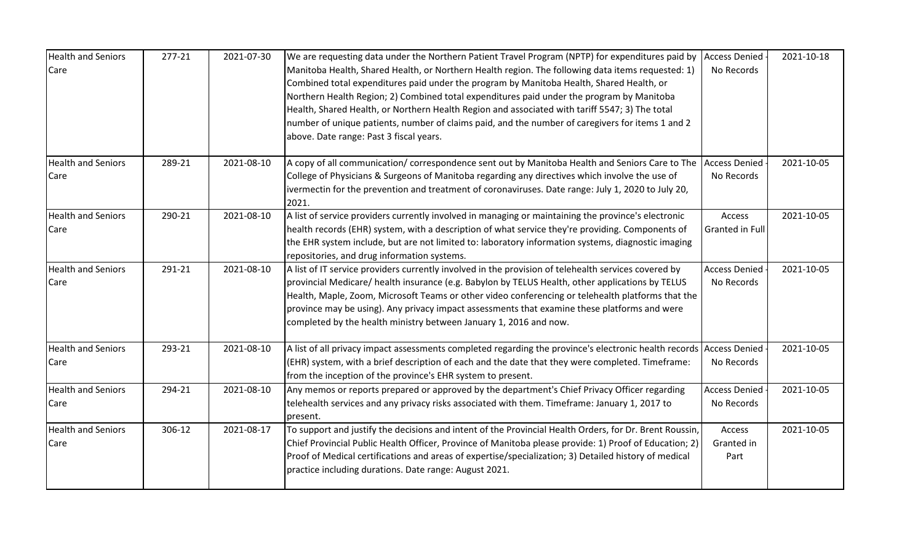| <b>Health and Seniors</b><br>Care | 277-21 | 2021-07-30 | We are requesting data under the Northern Patient Travel Program (NPTP) for expenditures paid by<br>Manitoba Health, Shared Health, or Northern Health region. The following data items requested: 1)<br>Combined total expenditures paid under the program by Manitoba Health, Shared Health, or<br>Northern Health Region; 2) Combined total expenditures paid under the program by Manitoba<br>Health, Shared Health, or Northern Health Region and associated with tariff 5547; 3) The total<br>number of unique patients, number of claims paid, and the number of caregivers for items 1 and 2<br>above. Date range: Past 3 fiscal years. | <b>Access Denied</b><br>No Records | 2021-10-18 |
|-----------------------------------|--------|------------|-------------------------------------------------------------------------------------------------------------------------------------------------------------------------------------------------------------------------------------------------------------------------------------------------------------------------------------------------------------------------------------------------------------------------------------------------------------------------------------------------------------------------------------------------------------------------------------------------------------------------------------------------|------------------------------------|------------|
| <b>Health and Seniors</b><br>Care | 289-21 | 2021-08-10 | A copy of all communication/ correspondence sent out by Manitoba Health and Seniors Care to The<br>College of Physicians & Surgeons of Manitoba regarding any directives which involve the use of<br>ivermectin for the prevention and treatment of coronaviruses. Date range: July 1, 2020 to July 20,<br>2021.                                                                                                                                                                                                                                                                                                                                | <b>Access Denied</b><br>No Records | 2021-10-05 |
| <b>Health and Seniors</b><br>Care | 290-21 | 2021-08-10 | A list of service providers currently involved in managing or maintaining the province's electronic<br>health records (EHR) system, with a description of what service they're providing. Components of<br>the EHR system include, but are not limited to: laboratory information systems, diagnostic imaging<br>repositories, and drug information systems.                                                                                                                                                                                                                                                                                    | Access<br>Granted in Full          | 2021-10-05 |
| <b>Health and Seniors</b><br>Care | 291-21 | 2021-08-10 | A list of IT service providers currently involved in the provision of telehealth services covered by<br>provincial Medicare/ health insurance (e.g. Babylon by TELUS Health, other applications by TELUS<br>Health, Maple, Zoom, Microsoft Teams or other video conferencing or telehealth platforms that the<br>province may be using). Any privacy impact assessments that examine these platforms and were<br>completed by the health ministry between January 1, 2016 and now.                                                                                                                                                              | <b>Access Denied</b><br>No Records | 2021-10-05 |
| <b>Health and Seniors</b><br>Care | 293-21 | 2021-08-10 | A list of all privacy impact assessments completed regarding the province's electronic health records Access Denied<br>(EHR) system, with a brief description of each and the date that they were completed. Timeframe:<br>from the inception of the province's EHR system to present.                                                                                                                                                                                                                                                                                                                                                          | No Records                         | 2021-10-05 |
| <b>Health and Seniors</b><br>Care | 294-21 | 2021-08-10 | Any memos or reports prepared or approved by the department's Chief Privacy Officer regarding<br>telehealth services and any privacy risks associated with them. Timeframe: January 1, 2017 to<br>present.                                                                                                                                                                                                                                                                                                                                                                                                                                      | <b>Access Denied</b><br>No Records | 2021-10-05 |
| <b>Health and Seniors</b><br>Care | 306-12 | 2021-08-17 | To support and justify the decisions and intent of the Provincial Health Orders, for Dr. Brent Roussin,<br>Chief Provincial Public Health Officer, Province of Manitoba please provide: 1) Proof of Education; 2)<br>Proof of Medical certifications and areas of expertise/specialization; 3) Detailed history of medical<br>practice including durations. Date range: August 2021.                                                                                                                                                                                                                                                            | Access<br>Granted in<br>Part       | 2021-10-05 |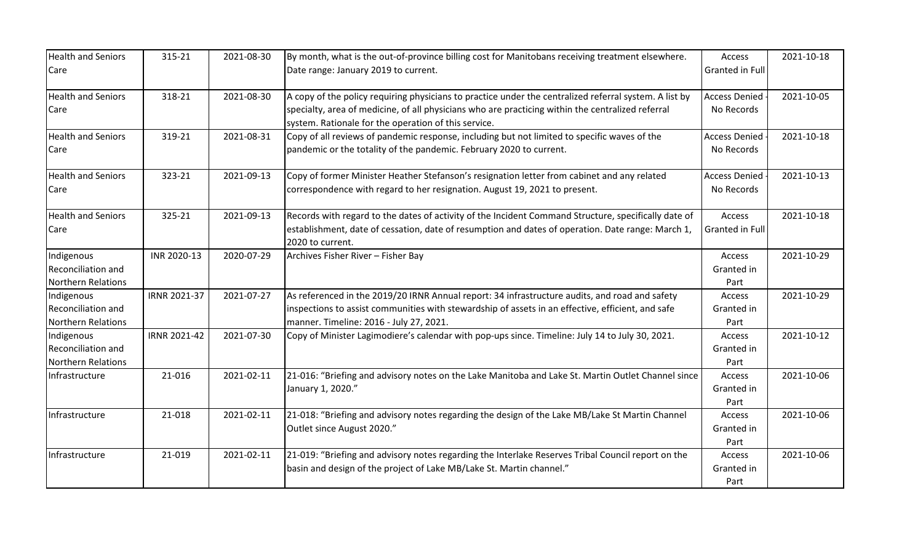| <b>Health and Seniors</b><br>Care                                    | 315-21       | 2021-08-30 | By month, what is the out-of-province billing cost for Manitobans receiving treatment elsewhere.<br>Date range: January 2019 to current.                                                                                                                            | Access<br>Granted in Full          | 2021-10-18 |
|----------------------------------------------------------------------|--------------|------------|---------------------------------------------------------------------------------------------------------------------------------------------------------------------------------------------------------------------------------------------------------------------|------------------------------------|------------|
| <b>Health and Seniors</b><br>Care                                    | 318-21       | 2021-08-30 | A copy of the policy requiring physicians to practice under the centralized referral system. A list by<br>specialty, area of medicine, of all physicians who are practicing within the centralized referral<br>system. Rationale for the operation of this service. | <b>Access Denied</b><br>No Records | 2021-10-05 |
| <b>Health and Seniors</b><br>Care                                    | 319-21       | 2021-08-31 | Copy of all reviews of pandemic response, including but not limited to specific waves of the<br>pandemic or the totality of the pandemic. February 2020 to current.                                                                                                 | <b>Access Denied</b><br>No Records | 2021-10-18 |
| <b>Health and Seniors</b><br>Care                                    | 323-21       | 2021-09-13 | Copy of former Minister Heather Stefanson's resignation letter from cabinet and any related<br>correspondence with regard to her resignation. August 19, 2021 to present.                                                                                           | <b>Access Denied</b><br>No Records | 2021-10-13 |
| <b>Health and Seniors</b><br>Care                                    | 325-21       | 2021-09-13 | Records with regard to the dates of activity of the Incident Command Structure, specifically date of<br>establishment, date of cessation, date of resumption and dates of operation. Date range: March 1,<br>2020 to current.                                       | Access<br><b>Granted in Full</b>   | 2021-10-18 |
| Indigenous<br>Reconciliation and<br><b>Northern Relations</b>        | INR 2020-13  | 2020-07-29 | Archives Fisher River - Fisher Bay                                                                                                                                                                                                                                  | Access<br>Granted in<br>Part       | 2021-10-29 |
| Indigenous<br><b>Reconciliation and</b><br><b>Northern Relations</b> | IRNR 2021-37 | 2021-07-27 | As referenced in the 2019/20 IRNR Annual report: 34 infrastructure audits, and road and safety<br>inspections to assist communities with stewardship of assets in an effective, efficient, and safe<br>manner. Timeline: 2016 - July 27, 2021.                      | Access<br>Granted in<br>Part       | 2021-10-29 |
| Indigenous<br>Reconciliation and<br><b>Northern Relations</b>        | IRNR 2021-42 | 2021-07-30 | Copy of Minister Lagimodiere's calendar with pop-ups since. Timeline: July 14 to July 30, 2021.                                                                                                                                                                     | Access<br>Granted in<br>Part       | 2021-10-12 |
| Infrastructure                                                       | 21-016       | 2021-02-11 | 21-016: "Briefing and advisory notes on the Lake Manitoba and Lake St. Martin Outlet Channel since<br>January 1, 2020."                                                                                                                                             | Access<br>Granted in<br>Part       | 2021-10-06 |
| Infrastructure                                                       | 21-018       | 2021-02-11 | 21-018: "Briefing and advisory notes regarding the design of the Lake MB/Lake St Martin Channel<br>Outlet since August 2020."                                                                                                                                       | Access<br>Granted in<br>Part       | 2021-10-06 |
| Infrastructure                                                       | 21-019       | 2021-02-11 | 21-019: "Briefing and advisory notes regarding the Interlake Reserves Tribal Council report on the<br>basin and design of the project of Lake MB/Lake St. Martin channel."                                                                                          | Access<br>Granted in<br>Part       | 2021-10-06 |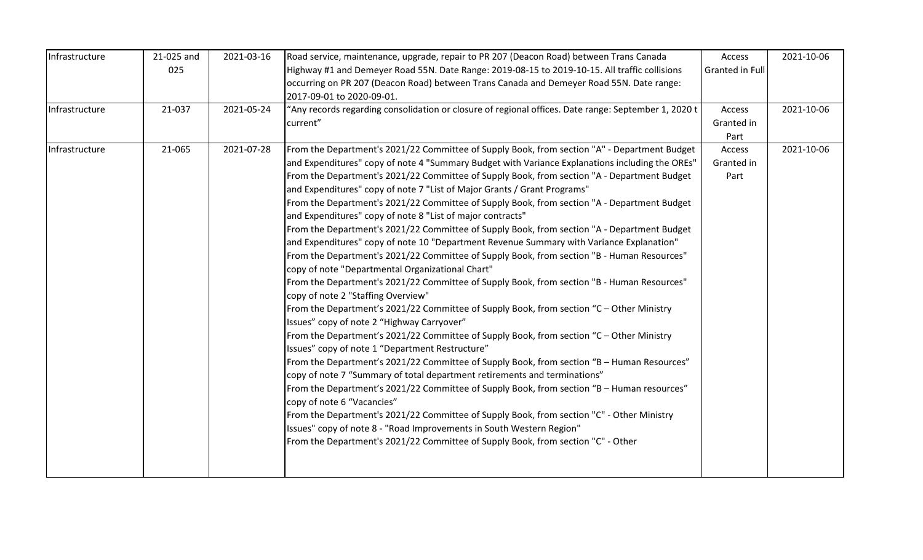| Infrastructure | 21-025 and | 2021-03-16 | Road service, maintenance, upgrade, repair to PR 207 (Deacon Road) between Trans Canada                                                     | Access          | 2021-10-06 |
|----------------|------------|------------|---------------------------------------------------------------------------------------------------------------------------------------------|-----------------|------------|
|                | 025        |            | Highway #1 and Demeyer Road 55N. Date Range: 2019-08-15 to 2019-10-15. All traffic collisions                                               | Granted in Full |            |
|                |            |            | occurring on PR 207 (Deacon Road) between Trans Canada and Demeyer Road 55N. Date range:                                                    |                 |            |
|                |            |            | 2017-09-01 to 2020-09-01.                                                                                                                   |                 |            |
| Infrastructure | 21-037     | 2021-05-24 | "Any records regarding consolidation or closure of regional offices. Date range: September 1, 2020 t                                        | Access          | 2021-10-06 |
|                |            |            | current"                                                                                                                                    | Granted in      |            |
|                |            |            |                                                                                                                                             | Part            |            |
| Infrastructure | 21-065     | 2021-07-28 | From the Department's 2021/22 Committee of Supply Book, from section "A" - Department Budget                                                | Access          | 2021-10-06 |
|                |            |            | and Expenditures" copy of note 4 "Summary Budget with Variance Explanations including the OREs"                                             | Granted in      |            |
|                |            |            | From the Department's 2021/22 Committee of Supply Book, from section "A - Department Budget                                                 | Part            |            |
|                |            |            | and Expenditures" copy of note 7 "List of Major Grants / Grant Programs"                                                                    |                 |            |
|                |            |            | From the Department's 2021/22 Committee of Supply Book, from section "A - Department Budget                                                 |                 |            |
|                |            |            | and Expenditures" copy of note 8 "List of major contracts"                                                                                  |                 |            |
|                |            |            | From the Department's 2021/22 Committee of Supply Book, from section "A - Department Budget                                                 |                 |            |
|                |            |            | and Expenditures" copy of note 10 "Department Revenue Summary with Variance Explanation"                                                    |                 |            |
|                |            |            | From the Department's 2021/22 Committee of Supply Book, from section "B - Human Resources"                                                  |                 |            |
|                |            |            | copy of note "Departmental Organizational Chart"                                                                                            |                 |            |
|                |            |            | From the Department's 2021/22 Committee of Supply Book, from section "B - Human Resources"<br>copy of note 2 "Staffing Overview"            |                 |            |
|                |            |            | From the Department's 2021/22 Committee of Supply Book, from section "C - Other Ministry                                                    |                 |            |
|                |            |            | Issues" copy of note 2 "Highway Carryover"                                                                                                  |                 |            |
|                |            |            | From the Department's 2021/22 Committee of Supply Book, from section "C - Other Ministry<br>Issues" copy of note 1 "Department Restructure" |                 |            |
|                |            |            | From the Department's 2021/22 Committee of Supply Book, from section "B - Human Resources"                                                  |                 |            |
|                |            |            | copy of note 7 "Summary of total department retirements and terminations"                                                                   |                 |            |
|                |            |            | From the Department's 2021/22 Committee of Supply Book, from section "B - Human resources"                                                  |                 |            |
|                |            |            | copy of note 6 "Vacancies"                                                                                                                  |                 |            |
|                |            |            | From the Department's 2021/22 Committee of Supply Book, from section "C" - Other Ministry                                                   |                 |            |
|                |            |            | Issues" copy of note 8 - "Road Improvements in South Western Region"                                                                        |                 |            |
|                |            |            | From the Department's 2021/22 Committee of Supply Book, from section "C" - Other                                                            |                 |            |
|                |            |            |                                                                                                                                             |                 |            |
|                |            |            |                                                                                                                                             |                 |            |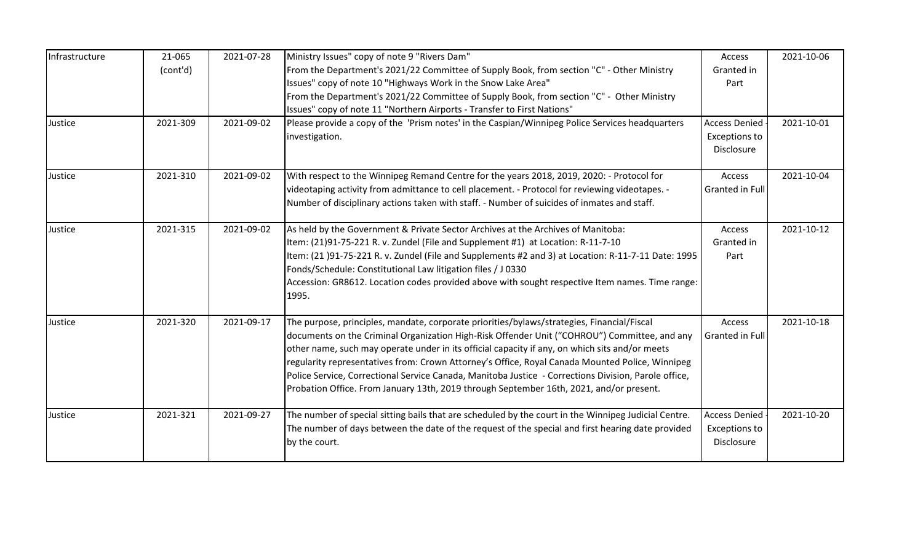| Granted in<br>Part<br><b>Access Denied</b>                                                                  |               |
|-------------------------------------------------------------------------------------------------------------|---------------|
|                                                                                                             |               |
|                                                                                                             |               |
|                                                                                                             |               |
|                                                                                                             |               |
| Exceptions to                                                                                               | 2021-10-01    |
| Disclosure                                                                                                  |               |
| Access                                                                                                      | 2021-10-04    |
| Granted in Full                                                                                             |               |
| Access                                                                                                      | 2021-10-12    |
| Granted in                                                                                                  |               |
| Item: (21 )91-75-221 R. v. Zundel (File and Supplements #2 and 3) at Location: R-11-7-11 Date: 1995<br>Part |               |
| Accession: GR8612. Location codes provided above with sought respective Item names. Time range:             |               |
|                                                                                                             |               |
| Access                                                                                                      | 2021-10-18    |
| <b>Granted in Full</b>                                                                                      |               |
|                                                                                                             |               |
|                                                                                                             |               |
|                                                                                                             |               |
|                                                                                                             |               |
| <b>Access Denied</b>                                                                                        | 2021-10-20    |
| Disclosure                                                                                                  |               |
|                                                                                                             | Exceptions to |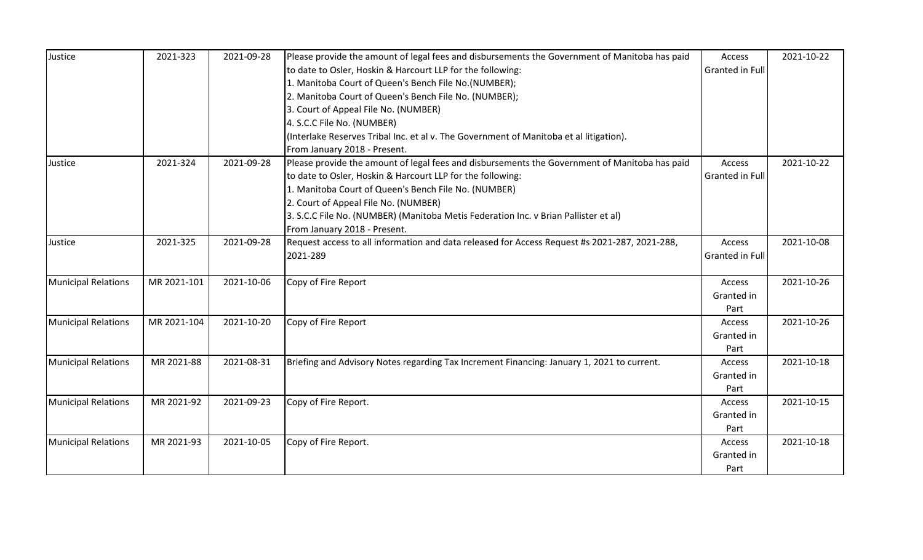| Justice                    | 2021-323    | 2021-09-28 | Please provide the amount of legal fees and disbursements the Government of Manitoba has paid | Access                 | 2021-10-22 |
|----------------------------|-------------|------------|-----------------------------------------------------------------------------------------------|------------------------|------------|
|                            |             |            | to date to Osler, Hoskin & Harcourt LLP for the following:                                    | Granted in Full        |            |
|                            |             |            | 1. Manitoba Court of Queen's Bench File No.(NUMBER);                                          |                        |            |
|                            |             |            | 2. Manitoba Court of Queen's Bench File No. (NUMBER);                                         |                        |            |
|                            |             |            | 3. Court of Appeal File No. (NUMBER)                                                          |                        |            |
|                            |             |            | 4. S.C.C File No. (NUMBER)                                                                    |                        |            |
|                            |             |            | (Interlake Reserves Tribal Inc. et al v. The Government of Manitoba et al litigation).        |                        |            |
|                            |             |            | From January 2018 - Present.                                                                  |                        |            |
| Justice                    | 2021-324    | 2021-09-28 | Please provide the amount of legal fees and disbursements the Government of Manitoba has paid | Access                 | 2021-10-22 |
|                            |             |            | to date to Osler, Hoskin & Harcourt LLP for the following:                                    | <b>Granted in Full</b> |            |
|                            |             |            | 1. Manitoba Court of Queen's Bench File No. (NUMBER)                                          |                        |            |
|                            |             |            | 2. Court of Appeal File No. (NUMBER)                                                          |                        |            |
|                            |             |            | 3. S.C.C File No. (NUMBER) (Manitoba Metis Federation Inc. v Brian Pallister et al)           |                        |            |
|                            |             |            | From January 2018 - Present.                                                                  |                        |            |
| Justice                    | 2021-325    | 2021-09-28 | Request access to all information and data released for Access Request #s 2021-287, 2021-288, | Access                 | 2021-10-08 |
|                            |             |            | 2021-289                                                                                      | Granted in Full        |            |
|                            |             |            |                                                                                               |                        |            |
| <b>Municipal Relations</b> | MR 2021-101 | 2021-10-06 | Copy of Fire Report                                                                           | Access                 | 2021-10-26 |
|                            |             |            |                                                                                               | Granted in             |            |
|                            |             |            |                                                                                               | Part                   |            |
| Municipal Relations        | MR 2021-104 | 2021-10-20 | Copy of Fire Report                                                                           | Access                 | 2021-10-26 |
|                            |             |            |                                                                                               | Granted in             |            |
|                            |             |            |                                                                                               | Part                   |            |
| <b>Municipal Relations</b> | MR 2021-88  | 2021-08-31 | Briefing and Advisory Notes regarding Tax Increment Financing: January 1, 2021 to current.    | Access                 | 2021-10-18 |
|                            |             |            |                                                                                               | Granted in             |            |
|                            |             |            |                                                                                               | Part                   |            |
| <b>Municipal Relations</b> | MR 2021-92  | 2021-09-23 | Copy of Fire Report.                                                                          | Access                 | 2021-10-15 |
|                            |             |            |                                                                                               | Granted in             |            |
|                            |             |            |                                                                                               | Part                   |            |
| <b>Municipal Relations</b> | MR 2021-93  | 2021-10-05 | Copy of Fire Report.                                                                          | Access                 | 2021-10-18 |
|                            |             |            |                                                                                               | Granted in             |            |
|                            |             |            |                                                                                               | Part                   |            |